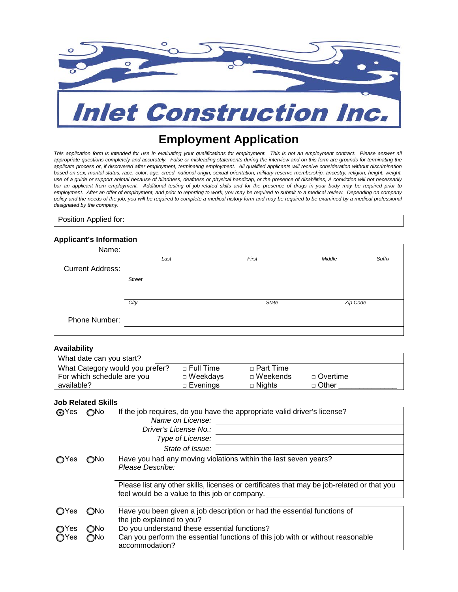

# **Employment Application**

*This application form is intended for use in evaluating your qualifications for employment. This is not an employment contract. Please answer all appropriate questions completely and accurately. False or misleading statements during the interview and on this form are grounds for terminating the applicate process or, if discovered after employment, terminating employment. All qualified applicants will receive consideration without discrimination based on sex, marital status, race, color, age, creed, national origin, sexual orientation, military reserve membership, ancestry, religion, height, weight, use of a guide or support animal because of blindness, deafness or physical handicap, or the presence of disabilities, A conviction will not necessarily bar an applicant from employment. Additional testing of job-related skills and for the presence of drugs in your body may be required prior to employment. After an offer of employment, and prior to reporting to work, you may be required to submit to a medical review. Depending on company policy and the needs of the job, you will be required to complete a medical history form and may be required to be examined by a medical professional designated by the company.* 

Position Applied for:

## **Applicant's Information**

| Name:                   |               |              |                  |  |
|-------------------------|---------------|--------------|------------------|--|
|                         | Last          | First        | Suffix<br>Middle |  |
| <b>Current Address:</b> |               |              |                  |  |
|                         | <b>Street</b> |              |                  |  |
|                         |               |              |                  |  |
|                         | City          | <b>State</b> | Zip Code         |  |
| Phone Number:           |               |              |                  |  |
|                         |               |              |                  |  |

## **Availability**

| What date can you start?        |             |                    |            |
|---------------------------------|-------------|--------------------|------------|
| What Category would you prefer? | □ Full Time | $\sqcap$ Part Time |            |
| For which schedule are you      | □ Weekdays  | $\sqcap$ Weekends  | □ Overtime |
| available?                      | □ Evenings  | $\Box$ Nights      | □ Other    |

## **Job Related Skills**

| <b>O</b> Yes                                   | ∩No                                | If the job requires, do you have the appropriate valid driver's license?<br>Name on License:<br>Driver's License No.:<br>Type of License:<br>State of Issue:                                                                                             |
|------------------------------------------------|------------------------------------|----------------------------------------------------------------------------------------------------------------------------------------------------------------------------------------------------------------------------------------------------------|
| Yes                                            | ONo                                | Have you had any moving violations within the last seven years?<br>Please Describe:<br>Please list any other skills, licenses or certificates that may be job-related or that you<br>feel would be a value to this job or company.                       |
| <b>O</b> Yes<br><b>O</b> Yes<br>$\bigcirc$ Yes | <b>ONo</b><br>$\bigcirc$ No<br>∩No | Have you been given a job description or had the essential functions of<br>the job explained to you?<br>Do you understand these essential functions?<br>Can you perform the essential functions of this job with or without reasonable<br>accommodation? |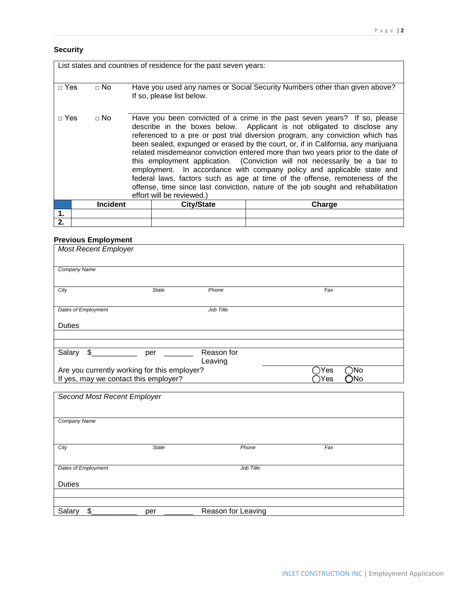## **Security**

| List states and countries of residence for the past seven years: |                 |  |                           |                                                                                                                                                                                                                                                                                                                                                                                                                                                                                                                                                                                                                                                                                                                                         |  |  |
|------------------------------------------------------------------|-----------------|--|---------------------------|-----------------------------------------------------------------------------------------------------------------------------------------------------------------------------------------------------------------------------------------------------------------------------------------------------------------------------------------------------------------------------------------------------------------------------------------------------------------------------------------------------------------------------------------------------------------------------------------------------------------------------------------------------------------------------------------------------------------------------------------|--|--|
|                                                                  |                 |  |                           |                                                                                                                                                                                                                                                                                                                                                                                                                                                                                                                                                                                                                                                                                                                                         |  |  |
| $\sqcap$ Yes                                                     | $\Box$ No       |  | If so, please list below. | Have you used any names or Social Security Numbers other than given above?                                                                                                                                                                                                                                                                                                                                                                                                                                                                                                                                                                                                                                                              |  |  |
| $\sqcap$ Yes                                                     | $\Box$ No       |  | effort will be reviewed.) | Have you been convicted of a crime in the past seven years? If so, please<br>describe in the boxes below. Applicant is not obligated to disclose any<br>referenced to a pre or post trial diversion program, any conviction which has<br>been sealed, expunged or erased by the court, or, if in California, any marijuana<br>related misdemeanor conviction entered more than two years prior to the date of<br>this employment application. (Conviction will not necessarily be a bar to<br>employment. In accordance with company policy and applicable state and<br>federal laws, factors such as age at time of the offense, remoteness of the<br>offense, time since last conviction, nature of the job sought and rehabilitation |  |  |
|                                                                  | <b>Incident</b> |  | <b>City/State</b>         | Charge                                                                                                                                                                                                                                                                                                                                                                                                                                                                                                                                                                                                                                                                                                                                  |  |  |
| 1.                                                               |                 |  |                           |                                                                                                                                                                                                                                                                                                                                                                                                                                                                                                                                                                                                                                                                                                                                         |  |  |
| 2.                                                               |                 |  |                           |                                                                                                                                                                                                                                                                                                                                                                                                                                                                                                                                                                                                                                                                                                                                         |  |  |

## **Previous Employment**

| $1000 - 111$ pro $1100$                                                               |              |                       |                                                              |  |
|---------------------------------------------------------------------------------------|--------------|-----------------------|--------------------------------------------------------------|--|
| <b>Most Recent Employer</b>                                                           |              |                       |                                                              |  |
| Company Name                                                                          |              |                       |                                                              |  |
| City                                                                                  | <b>State</b> | Phone                 | Fax                                                          |  |
| Dates of Employment                                                                   |              | Job Title             |                                                              |  |
| <b>Duties</b>                                                                         |              |                       |                                                              |  |
|                                                                                       |              |                       |                                                              |  |
| $\frac{1}{2}$<br>Salary                                                               | per          | Reason for<br>Leaving |                                                              |  |
| Are you currently working for this employer?<br>If yes, may we contact this employer? |              |                       | $\bigcirc$ No<br>$\bar{\supset}$ Yes<br>Yes<br>$\bigcirc$ No |  |
|                                                                                       |              |                       |                                                              |  |
| Second Most Recent Employer                                                           |              |                       |                                                              |  |
| Company Name                                                                          |              |                       |                                                              |  |
| City                                                                                  | <b>State</b> | Phone                 | Fax                                                          |  |
| Dates of Employment                                                                   |              | Job Title             |                                                              |  |
| <b>Duties</b>                                                                         |              |                       |                                                              |  |
|                                                                                       |              |                       |                                                              |  |
| \$<br>Salary                                                                          | per          | Reason for Leaving    |                                                              |  |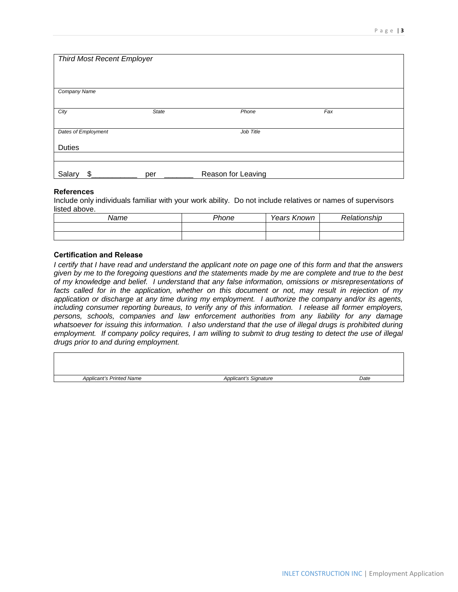| <b>Third Most Recent Employer</b> |              |                    |     |  |  |  |
|-----------------------------------|--------------|--------------------|-----|--|--|--|
| <b>Company Name</b>               |              |                    |     |  |  |  |
|                                   |              |                    |     |  |  |  |
| City                              | <b>State</b> | Phone              | Fax |  |  |  |
| Dates of Employment<br>Job Title  |              |                    |     |  |  |  |
| <b>Duties</b>                     |              |                    |     |  |  |  |
|                                   |              |                    |     |  |  |  |
| Salary<br>\$.                     | per          | Reason for Leaving |     |  |  |  |

## **References**

Include only individuals familiar with your work ability. Do not include relatives or names of supervisors listed above.

| Name | Phone | Years Known | Rela<br>ıtionship |
|------|-------|-------------|-------------------|
|      |       |             |                   |
|      |       |             |                   |

## **Certification and Release**

*I certify that I have read and understand the applicant note on page one of this form and that the answers given by me to the foregoing questions and the statements made by me are complete and true to the best of my knowledge and belief. I understand that any false information, omissions or misrepresentations of facts called for in the application, whether on this document or not, may result in rejection of my application or discharge at any time during my employment. I authorize the company and/or its agents, including consumer reporting bureaus, to verify any of this information. I release all former employers, persons, schools, companies and law enforcement authorities from any liability for any damage whatsoever for issuing this information. I also understand that the use of illegal drugs is prohibited during employment. If company policy requires, I am willing to submit to drug testing to detect the use of illegal drugs prior to and during employment.* 

| <b>Applicant's Printed Name</b> | <b>Applicant's Signature</b> | Date |
|---------------------------------|------------------------------|------|
|                                 |                              |      |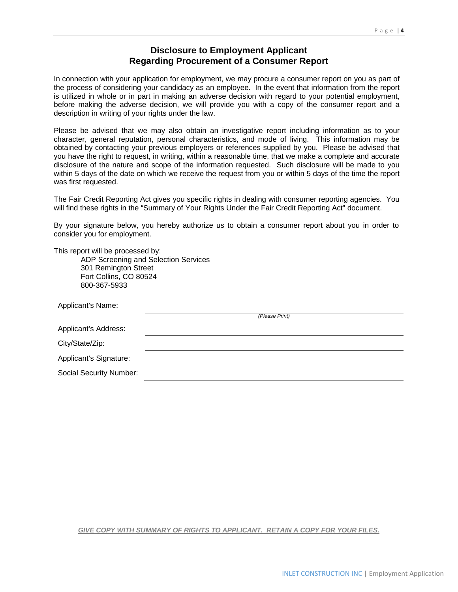## **Disclosure to Employment Applicant Regarding Procurement of a Consumer Report**

In connection with your application for employment, we may procure a consumer report on you as part of the process of considering your candidacy as an employee. In the event that information from the report is utilized in whole or in part in making an adverse decision with regard to your potential employment, before making the adverse decision, we will provide you with a copy of the consumer report and a description in writing of your rights under the law.

Please be advised that we may also obtain an investigative report including information as to your character, general reputation, personal characteristics, and mode of living. This information may be obtained by contacting your previous employers or references supplied by you. Please be advised that you have the right to request, in writing, within a reasonable time, that we make a complete and accurate disclosure of the nature and scope of the information requested. Such disclosure will be made to you within 5 days of the date on which we receive the request from you or within 5 days of the time the report was first requested.

The Fair Credit Reporting Act gives you specific rights in dealing with consumer reporting agencies. You will find these rights in the "Summary of Your Rights Under the Fair Credit Reporting Act" document.

By your signature below, you hereby authorize us to obtain a consumer report about you in order to consider you for employment.

This report will be processed by:

ADP Screening and Selection Services 301 Remington Street Fort Collins, CO 80524 800-367-5933

| Applicant's Name:       |                |
|-------------------------|----------------|
|                         | (Please Print) |
| Applicant's Address:    |                |
| City/State/Zip:         |                |
| Applicant's Signature:  |                |
| Social Security Number: |                |
|                         |                |

## *GIVE COPY WITH SUMMARY OF RIGHTS TO APPLICANT. RETAIN A COPY FOR YOUR FILES.*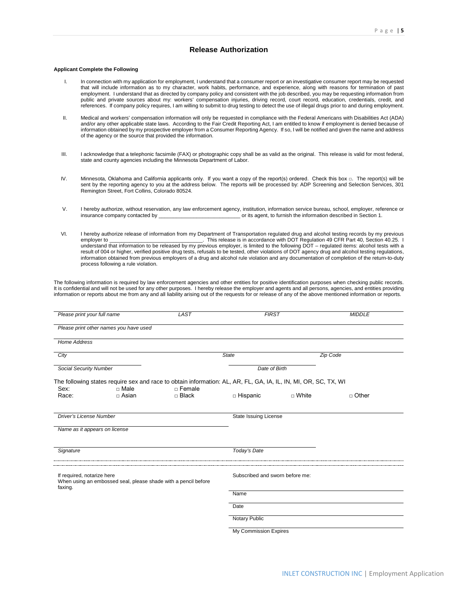#### **Release Authorization**

#### **Applicant Complete the Following**

- I. In connection with my application for employment, I understand that a consumer report or an investigative consumer report may be requested that will include information as to my character, work habits, performance, and experience, along with reasons for termination of past employment. I understand that as directed by company policy and consistent with the job described, you may be requesting information from public and private sources about my: workers' compensation injuries, driving record, court record, education, credentials, credit, and references. If company policy requires, I am willing to submit to drug testing to detect the use of illegal drugs prior to and during employment.
- II. Medical and workers' compensation information will only be requested in compliance with the Federal Americans with Disabilities Act (ADA) and/or any other applicable state laws. According to the Fair Credit Reporting Act, I am entitled to know if employment is denied because of information obtained by my prospective employer from a Consumer Reporting Agency. If so, I will be notified and given the name and address of the agency or the source that provided the information.
- III. I acknowledge that a telephonic facsimile (FAX) or photographic copy shall be as valid as the original. This release is valid for most federal, state and county agencies including the Minnesota Department of Labor.
- IV. Minnesota, Oklahoma and California applicants only. If you want a copy of the report(s) ordered. Check this box □. The report(s) will be sent by the reporting agency to you at the address below. The reports will be processed by: ADP Screening and Selection Services, 301 Remington Street, Fort Collins, Colorado 80524.
- V. I hereby authorize, without reservation, any law enforcement agency, institution, information service bureau, school, employer, reference or<br>insurance company contacted by or its agent, to furnish the information descri or its agent, to furnish the information described in Section 1.
- VI. I hereby authorize release of information from my Department of Transportation regulated drug and alcohol testing records by my previous employer to \_\_\_\_\_\_\_\_\_\_\_\_\_\_\_\_\_\_\_\_\_\_\_\_\_\_\_\_\_\_\_\_. This release is in accordance with DOT Regulation 49 CFR Part 40, Section 40.25. I understand that information to be released by my previous employer, is limited to the following DOT – regulated items: alcohol tests with a result of 004 or higher, verified positive drug tests, refusals to be tested, other violations of DOT agency drug and alcohol testing regulations, information obtained from previous employers of a drug and alcohol rule violation and any documentation of completion of the return-to-duty process following a rule violation.

The following information is required by law enforcement agencies and other entities for positive identification purposes when checking public records. It is confidential and will not be used for any other purposes. I hereby release the employer and agents and all persons, agencies, and entities providing information or reports about me from any and all liability arising out of the requests for or release of any of the above mentioned information or reports.

| Please print your full name    |                                        | <b>LAST</b>                                                                                                     | <b>FIRST</b>                    |              | <b>MIDDLE</b> |
|--------------------------------|----------------------------------------|-----------------------------------------------------------------------------------------------------------------|---------------------------------|--------------|---------------|
|                                | Please print other names you have used |                                                                                                                 |                                 |              |               |
| <b>Home Address</b>            |                                        |                                                                                                                 |                                 |              |               |
| City                           |                                        |                                                                                                                 | <b>State</b>                    |              | Zip Code      |
| Social Security Number         |                                        |                                                                                                                 | Date of Birth                   |              |               |
|                                |                                        | The following states require sex and race to obtain information: AL, AR, FL, GA, IA, IL, IN, MI, OR, SC, TX, WI |                                 |              |               |
| Sex:<br>Race:                  | $\Box$ Male<br>$\Box$ Asian            | $\Box$ Female<br>$\Box$ Black                                                                                   | $\Box$ Hispanic                 | $\Box$ White | □ Other       |
| <b>Driver's License Number</b> |                                        |                                                                                                                 | State Issuing License           |              |               |
| Name as it appears on license  |                                        |                                                                                                                 |                                 |              |               |
| Signature                      |                                        |                                                                                                                 | Today's Date                    |              |               |
| If required, notarize here     |                                        | When using an embossed seal, please shade with a pencil before                                                  | Subscribed and sworn before me: |              |               |
| faxing.                        |                                        |                                                                                                                 | Name                            |              |               |
|                                |                                        |                                                                                                                 | Date                            |              |               |
|                                |                                        |                                                                                                                 | Notary Public                   |              |               |
|                                |                                        |                                                                                                                 | <b>My Commission Expires</b>    |              |               |

INLET CONSTRUCTION INC | Employment Application